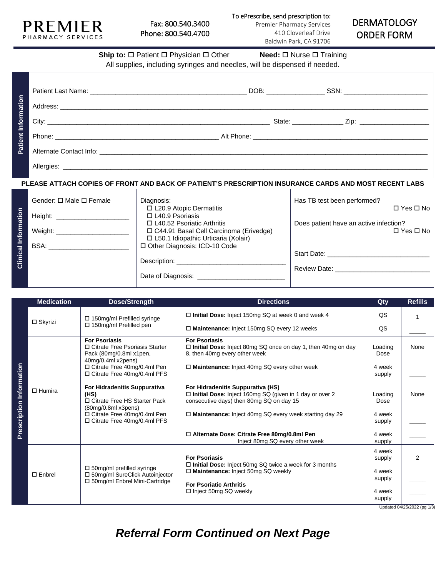

**Patient Information**

Patient Information

| P H A R W A C T S E R V I C E S                                                                       |                                                                                                                                                                                      | Baldwin Park, CA 91706 | UINULIN I VINNI             |  |  |  |
|-------------------------------------------------------------------------------------------------------|--------------------------------------------------------------------------------------------------------------------------------------------------------------------------------------|------------------------|-----------------------------|--|--|--|
|                                                                                                       | <b>Ship to:</b> $\Box$ Patient $\Box$ Physician $\Box$ Other <b>Need:</b> $\Box$ Nurse $\Box$ Training<br>All supplies, including syringes and needles, will be dispensed if needed. |                        |                             |  |  |  |
|                                                                                                       |                                                                                                                                                                                      |                        |                             |  |  |  |
|                                                                                                       |                                                                                                                                                                                      |                        |                             |  |  |  |
|                                                                                                       |                                                                                                                                                                                      |                        |                             |  |  |  |
| PLEASE ATTACH COPIES OF FRONT AND BACK OF PATIENT'S PRESCRIPTION INSURANCE CARDS AND MOST RECENT LABS |                                                                                                                                                                                      |                        |                             |  |  |  |
| Gender: □ Male □ Female                                                                               | Diagnosis:                                                                                                                                                                           |                        | Has TB test been performed? |  |  |  |

|             | Gender: □ Male □ Female       | Diagnosis:                               | Has TB test been performed?            |
|-------------|-------------------------------|------------------------------------------|----------------------------------------|
|             |                               | □ L20.9 Atopic Dermatitis                | $\Box$ Yes $\Box$ No                   |
|             | Height: _____________________ | $\Box$ L40.9 Psoriasis                   |                                        |
|             |                               | $\Box$ L40.52 Psoriatic Arthritis        | Does patient have an active infection? |
| Information | Weight:                       | □ C44.91 Basal Cell Carcinoma (Erivedge) | $\Box$ Yes $\Box$ No                   |
|             |                               | □ L50.1 Idiopathic Urticaria (Xolair)    |                                        |
|             | BSA:                          | □ Other Diagnosis: ICD-10 Code           |                                        |
|             |                               |                                          | Start Date: _____________              |
| Clinical    |                               | Description: ______________              |                                        |
|             |                               |                                          | Review Date: New York 1997             |
|             |                               |                                          |                                        |
|             |                               |                                          |                                        |

|                          | <b>Medication</b> | Dose/Strength                                                                                             | <b>Directions</b>                                                                                                                          | Qty              | <b>Refills</b>              |
|--------------------------|-------------------|-----------------------------------------------------------------------------------------------------------|--------------------------------------------------------------------------------------------------------------------------------------------|------------------|-----------------------------|
|                          | $\square$ Skyrizi | $\Box$ 150mg/ml Prefilled syringe<br>$\Box$ 150mg/ml Prefilled pen                                        | $\Box$ Initial Dose: Inject 150mg SQ at week 0 and week 4                                                                                  | QS               |                             |
|                          |                   |                                                                                                           | □ Maintenance: Inject 150mg SQ every 12 weeks                                                                                              | QS               |                             |
|                          |                   | <b>For Psoriasis</b><br>□ Citrate Free Psoriasis Starter<br>Pack (80mg/0.8ml x1pen,<br>40mg/0.4ml x2pens) | <b>For Psoriasis</b><br>$\Box$ Initial Dose: Inject 80mg SQ once on day 1, then 40mg on day<br>8, then 40mg every other week               | Loading<br>Dose  | None                        |
|                          | $\Box$ Humira     | □ Citrate Free 40mg/0.4ml Pen<br>$\Box$ Citrate Free 40mg/0.4ml PFS                                       | $\Box$ Maintenance: Inject 40mg SQ every other week                                                                                        | 4 week<br>supply |                             |
| Prescription Information |                   | For Hidradenitis Suppurativa<br>(HS)<br>□ Citrate Free HS Starter Pack<br>(80mg/0.8ml x3pens)             | For Hidradenitis Suppurativa (HS)<br>□ Initial Dose: Inject 160mg SQ (given in 1 day or over 2<br>consecutive days) then 80mg SQ on day 15 | Loading<br>Dose  | None                        |
|                          |                   | □ Citrate Free 40mg/0.4ml Pen<br>$\Box$ Citrate Free 40mg/0.4ml PFS                                       | $\Box$ Maintenance: Inject 40mg SQ every week starting day 29                                                                              | 4 week<br>supply |                             |
|                          |                   |                                                                                                           | □ Alternate Dose: Citrate Free 80mg/0.8ml Pen<br>Inject 80mg SQ every other week                                                           | 4 week<br>supply |                             |
|                          | $\square$ Enbrel  | $\Box$ 50mg/ml prefilled syringe<br>□ 50mg/ml SureClick Autoinjector<br>□ 50mg/ml Enbrel Mini-Cartridge   | <b>For Psoriasis</b><br>$\Box$ Initial Dose: Inject 50mg SQ twice a week for 3 months                                                      | 4 week<br>supply | $\overline{2}$              |
|                          |                   |                                                                                                           | □ Maintenance: Inject 50mg SQ weekly                                                                                                       | 4 week<br>supply |                             |
|                          |                   |                                                                                                           | <b>For Psoriatic Arthritis</b><br>$\Box$ Inject 50mg SQ weekly                                                                             | 4 week<br>supply | Lindated 04/25/2022 (pg 1/2 |

Updated 04/25/2022 (pg 1/3)

*Referral Form Continued on Next Page*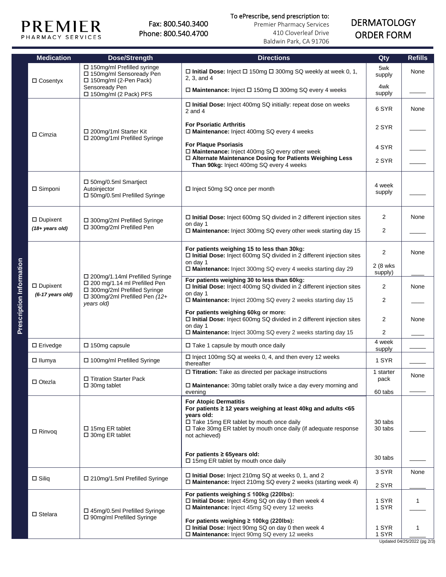

## To ePrescribe, send prescription to:

Premier Pharmacy Services 410 Cloverleaf Drive Baldwin Park, CA 91706

## DERMATOLOGY ORDER FORM

| <b>Medication</b>                     | Dose/Strength                                                                                                                                            | <b>Directions</b>                                                                                                                                                                                                                                      | Qty                  | <b>Refills</b>                   |
|---------------------------------------|----------------------------------------------------------------------------------------------------------------------------------------------------------|--------------------------------------------------------------------------------------------------------------------------------------------------------------------------------------------------------------------------------------------------------|----------------------|----------------------------------|
|                                       | $\Box$ 150mg/ml Prefilled syringe<br>□ 150mg/ml Sensoready Pen<br>□ 150mg/ml (2-Pen Pack)                                                                | □ Initial Dose: Inject □ 150mg □ 300mg SQ weekly at week 0, 1,<br>2, 3, and 4                                                                                                                                                                          | 5wk<br>supply        | None                             |
| $\Box$ Cosentyx                       | Sensoready Pen<br>□ 150mg/ml (2 Pack) PFS                                                                                                                | □ Maintenance: Inject □ 150mg □ 300mg SQ every 4 weeks                                                                                                                                                                                                 | 4wk<br>supply        |                                  |
|                                       | □ 200mg/1ml Starter Kit<br>□ 200mg/1ml Prefilled Syringe                                                                                                 | $\square$ Initial Dose: Inject 400mg SQ initially: repeat dose on weeks<br>$2$ and $4$                                                                                                                                                                 | 6 SYR                | None                             |
| $\Box$ Cimzia                         |                                                                                                                                                          | <b>For Psoriatic Arthritis</b><br>$\Box$ Maintenance: Inject 400mg SQ every 4 weeks                                                                                                                                                                    | 2 SYR                |                                  |
|                                       |                                                                                                                                                          | <b>For Plaque Psoriasis</b><br>□ Maintenance: Inject 400mg SQ every other week<br>□ Alternate Maintenance Dosing for Patients Weighing Less                                                                                                            | 4 SYR                |                                  |
|                                       |                                                                                                                                                          | Than 90kg: Inject 400mg SQ every 4 weeks                                                                                                                                                                                                               | 2 SYR                |                                  |
| $\Box$ Simponi                        | $\square$ 50mg/0.5ml Smartject<br>Autoinjector<br>□ 50mg/0.5ml Prefilled Syringe                                                                         | 4 week<br>$\Box$ Inject 50mg SQ once per month                                                                                                                                                                                                         |                      |                                  |
| $\Box$ Dupixent                       | □ 300mg/2ml Prefilled Syringe                                                                                                                            | $\Box$ Initial Dose: Inject 600mg SQ divided in 2 different injection sites<br>on day 1                                                                                                                                                                | 2                    | None                             |
| $(18 + years old)$                    | □ 300mg/2ml Prefilled Pen                                                                                                                                | $\Box$ Maintenance: Inject 300mg SQ every other week starting day 15                                                                                                                                                                                   | $\overline{2}$       |                                  |
|                                       | □ 200mg/1.14ml Prefilled Syringe<br>$\Box$ 200 mg/1.14 ml Prefilled Pen<br>□ 300mg/2ml Prefilled Syringe<br>□ 300mg/2ml Prefilled Pen (12+<br>years old) | For patients weighing 15 to less than 30kg:<br>$\Box$ Initial Dose: Inject 600mg SQ divided in 2 different injection sites<br>on day 1                                                                                                                 | $\overline{2}$       | None                             |
|                                       |                                                                                                                                                          | $\Box$ Maintenance: Inject 300mg SQ every 4 weeks starting day 29                                                                                                                                                                                      | 2 (8 wks)<br>supply) |                                  |
| $\Box$ Dupixent<br>$(6-17$ years old) |                                                                                                                                                          | For patients weighing 30 to less than 60kg:<br>$\Box$ Initial Dose: Inject 400mg SQ divided in 2 different injection sites<br>on day 1                                                                                                                 | $\overline{2}$       | None                             |
|                                       |                                                                                                                                                          | □ Maintenance: Inject 200mg SQ every 2 weeks starting day 15                                                                                                                                                                                           | $\overline{2}$       |                                  |
|                                       |                                                                                                                                                          | For patients weighing 60kg or more:<br>$\Box$ Initial Dose: Inject 600mg SQ divided in 2 different injection sites<br>on day 1                                                                                                                         | 2<br>2               | None                             |
|                                       |                                                                                                                                                          | $\Box$ Maintenance: Inject 300mg SQ every 2 weeks starting day 15                                                                                                                                                                                      |                      |                                  |
| $\Box$ Erivedge                       | $\square$ 150mg capsule                                                                                                                                  | $\Box$ Take 1 capsule by mouth once daily<br>$\Box$ Inject 100mg SQ at weeks 0, 4, and then every 12 weeks                                                                                                                                             | 4 week<br>supply     |                                  |
| $\Box$ llumya                         | □ 100mg/ml Prefilled Syringe                                                                                                                             | thereafter                                                                                                                                                                                                                                             | 1 SYR                |                                  |
| □ Otezla                              | □ Titration Starter Pack                                                                                                                                 | $\Box$ Titration: Take as directed per package instructions                                                                                                                                                                                            | 1 starter<br>pack    | None                             |
|                                       | $\square$ 30mg tablet                                                                                                                                    | $\Box$ Maintenance: 30mg tablet orally twice a day every morning and<br>evening                                                                                                                                                                        | 60 tabs              |                                  |
| $\Box$ Rinvoq                         | $\Box$ 15mg ER tablet<br>$\Box$ 30mg ER tablet                                                                                                           | <b>For Atopic Dermatitis</b><br>For patients $\geq$ 12 years weighing at least 40kg and adults <65<br>years old:<br>$\Box$ Take 15mg ER tablet by mouth once daily<br>□ Take 30mg ER tablet by mouth once daily (if adequate response<br>not achieved) | 30 tabs<br>30 tabs   |                                  |
|                                       |                                                                                                                                                          | For patients $\geq 65$ years old:<br>□ 15mg ER tablet by mouth once daily                                                                                                                                                                              | 30 tabs              |                                  |
| $\square$ Siliq                       | □ 210mg/1.5ml Prefilled Syringe                                                                                                                          | $\Box$ Initial Dose: Inject 210mg SQ at weeks 0, 1, and 2<br>$\Box$ Maintenance: Inject 210mg SQ every 2 weeks (starting week 4)                                                                                                                       | 3 SYR<br>2 SYR       | None                             |
| $\Box$ Stelara                        | $\Box$ 45mg/0.5ml Prefilled Syringe                                                                                                                      | For patients weighing $\leq 100$ kg (220lbs):<br>$\Box$ Initial Dose: Inject 45mg SQ on day 0 then week 4<br>□ Maintenance: Inject 45mg SQ every 12 weeks                                                                                              | 1 SYR<br>1 SYR       | $\mathbf{1}$                     |
|                                       | □ 90mg/ml Prefilled Syringe                                                                                                                              | For patients weighing ≥ 100kg (220lbs):<br>□ Initial Dose: Inject 90mg SQ on day 0 then week 4<br>□ Maintenance: Inject 90mg SQ every 12 weeks                                                                                                         | 1 SYR<br>1 SYR       | 1<br>Updated 04/25/2022 (pg 2/3) |